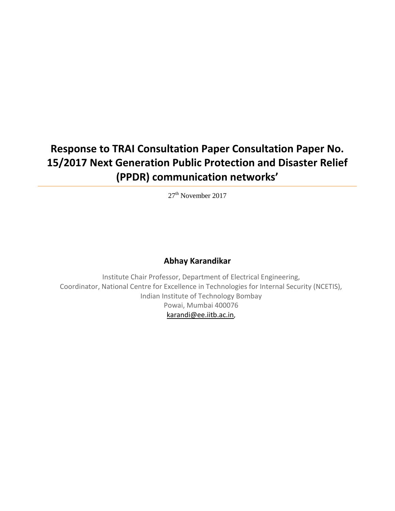# **Response to TRAI Consultation Paper Consultation Paper No. 15/2017 Next Generation Public Protection and Disaster Relief (PPDR) communication networks'**

27<sup>th</sup> November 2017

## **Abhay Karandikar**

Institute Chair Professor, Department of Electrical Engineering, Coordinator, National Centre for Excellence in Technologies for Internal Security (NCETIS), Indian Institute of Technology Bombay Powai, Mumbai 400076 [karandi@ee.iitb.ac.in](mailto:karandi@ee.iitb.ac.in),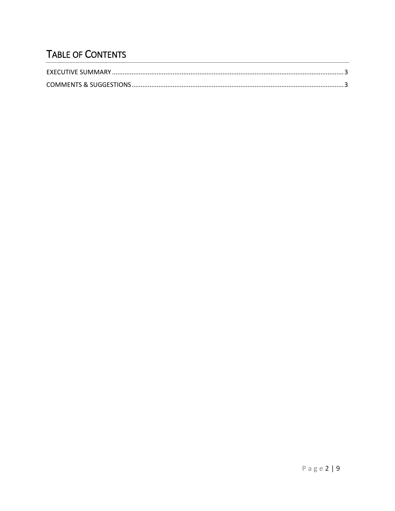# TABLE OF CONTENTS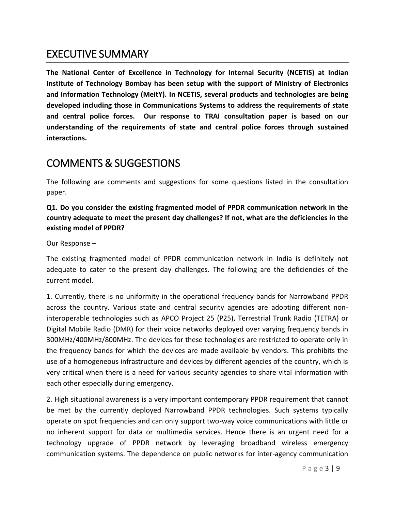## <span id="page-2-0"></span>EXECUTIVE SUMMARY

**The National Center of Excellence in Technology for Internal Security (NCETIS) at Indian Institute of Technology Bombay has been setup with the support of Ministry of Electronics and Information Technology (MeitY). In NCETIS, several products and technologies are being developed including those in Communications Systems to address the requirements of state and central police forces. Our response to TRAI consultation paper is based on our understanding of the requirements of state and central police forces through sustained interactions.**

## <span id="page-2-1"></span>COMMENTS & SUGGESTIONS

The following are comments and suggestions for some questions listed in the consultation paper.

#### **Q1. Do you consider the existing fragmented model of PPDR communication network in the country adequate to meet the present day challenges? If not, what are the deficiencies in the existing model of PPDR?**

Our Response –

The existing fragmented model of PPDR communication network in India is definitely not adequate to cater to the present day challenges. The following are the deficiencies of the current model.

1. Currently, there is no uniformity in the operational frequency bands for Narrowband PPDR across the country. Various state and central security agencies are adopting different noninteroperable technologies such as APCO Project 25 (P25), Terrestrial Trunk Radio (TETRA) or Digital Mobile Radio (DMR) for their voice networks deployed over varying frequency bands in 300MHz/400MHz/800MHz. The devices for these technologies are restricted to operate only in the frequency bands for which the devices are made available by vendors. This prohibits the use of a homogeneous infrastructure and devices by different agencies of the country, which is very critical when there is a need for various security agencies to share vital information with each other especially during emergency.

2. High situational awareness is a very important contemporary PPDR requirement that cannot be met by the currently deployed Narrowband PPDR technologies. Such systems typically operate on spot frequencies and can only support two-way voice communications with little or no inherent support for data or multimedia services. Hence there is an urgent need for a technology upgrade of PPDR network by leveraging broadband wireless emergency communication systems. The dependence on public networks for inter-agency communication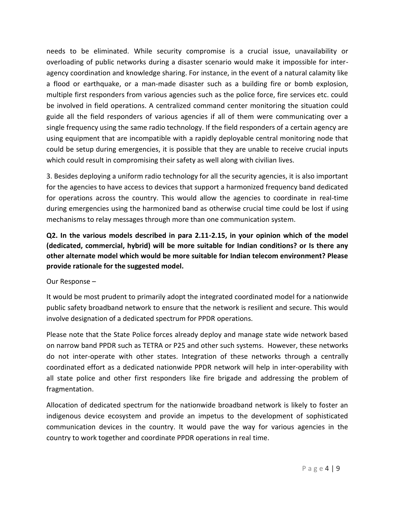needs to be eliminated. While security compromise is a crucial issue, unavailability or overloading of public networks during a disaster scenario would make it impossible for interagency coordination and knowledge sharing. For instance, in the event of a natural calamity like a flood or earthquake, or a man-made disaster such as a building fire or bomb explosion, multiple first responders from various agencies such as the police force, fire services etc. could be involved in field operations. A centralized command center monitoring the situation could guide all the field responders of various agencies if all of them were communicating over a single frequency using the same radio technology. If the field responders of a certain agency are using equipment that are incompatible with a rapidly deployable central monitoring node that could be setup during emergencies, it is possible that they are unable to receive crucial inputs which could result in compromising their safety as well along with civilian lives.

3. Besides deploying a uniform radio technology for all the security agencies, it is also important for the agencies to have access to devices that support a harmonized frequency band dedicated for operations across the country. This would allow the agencies to coordinate in real-time during emergencies using the harmonized band as otherwise crucial time could be lost if using mechanisms to relay messages through more than one communication system.

**Q2. In the various models described in para 2.11-2.15, in your opinion which of the model (dedicated, commercial, hybrid) will be more suitable for Indian conditions? or Is there any other alternate model which would be more suitable for Indian telecom environment? Please provide rationale for the suggested model.**

Our Response –

It would be most prudent to primarily adopt the integrated coordinated model for a nationwide public safety broadband network to ensure that the network is resilient and secure. This would involve designation of a dedicated spectrum for PPDR operations.

Please note that the State Police forces already deploy and manage state wide network based on narrow band PPDR such as TETRA or P25 and other such systems. However, these networks do not inter-operate with other states. Integration of these networks through a centrally coordinated effort as a dedicated nationwide PPDR network will help in inter-operability with all state police and other first responders like fire brigade and addressing the problem of fragmentation.

Allocation of dedicated spectrum for the nationwide broadband network is likely to foster an indigenous device ecosystem and provide an impetus to the development of sophisticated communication devices in the country. It would pave the way for various agencies in the country to work together and coordinate PPDR operations in real time.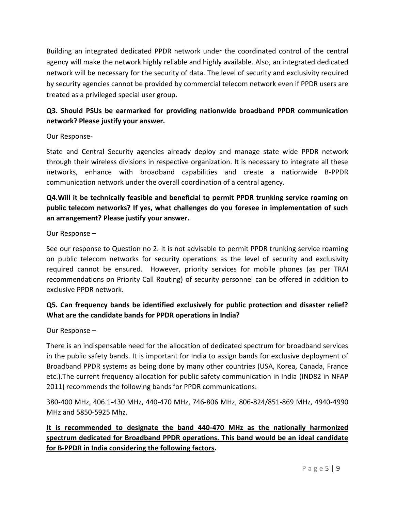Building an integrated dedicated PPDR network under the coordinated control of the central agency will make the network highly reliable and highly available. Also, an integrated dedicated network will be necessary for the security of data. The level of security and exclusivity required by security agencies cannot be provided by commercial telecom network even if PPDR users are treated as a privileged special user group.

## **Q3. Should PSUs be earmarked for providing nationwide broadband PPDR communication network? Please justify your answer.**

Our Response-

State and Central Security agencies already deploy and manage state wide PPDR network through their wireless divisions in respective organization. It is necessary to integrate all these networks, enhance with broadband capabilities and create a nationwide B-PPDR communication network under the overall coordination of a central agency.

#### **Q4.Will it be technically feasible and beneficial to permit PPDR trunking service roaming on public telecom networks? If yes, what challenges do you foresee in implementation of such an arrangement? Please justify your answer.**

#### Our Response –

See our response to Question no 2. It is not advisable to permit PPDR trunking service roaming on public telecom networks for security operations as the level of security and exclusivity required cannot be ensured. However, priority services for mobile phones (as per TRAI recommendations on Priority Call Routing) of security personnel can be offered in addition to exclusive PPDR network.

#### **Q5. Can frequency bands be identified exclusively for public protection and disaster relief? What are the candidate bands for PPDR operations in India?**

Our Response –

There is an indispensable need for the allocation of dedicated spectrum for broadband services in the public safety bands. It is important for India to assign bands for exclusive deployment of Broadband PPDR systems as being done by many other countries (USA, Korea, Canada, France etc.).The current frequency allocation for public safety communication in India (IND82 in NFAP 2011) recommends the following bands for PPDR communications:

380-400 MHz, 406.1-430 MHz, 440-470 MHz, 746-806 MHz, 806-824/851-869 MHz, 4940-4990 MHz and 5850-5925 Mhz.

## **It is recommended to designate the band 440-470 MHz as the nationally harmonized spectrum dedicated for Broadband PPDR operations. This band would be an ideal candidate for B-PPDR in India considering the following factors.**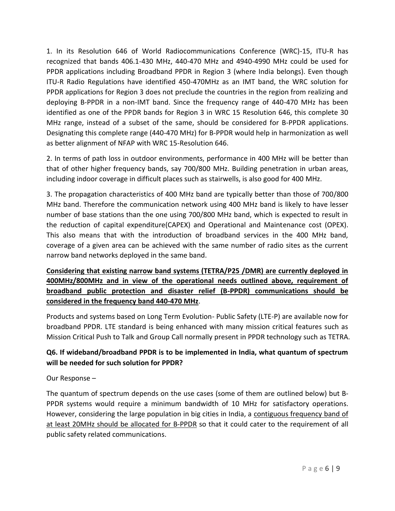1. In its Resolution 646 of World Radiocommunications Conference (WRC)-15, ITU-R has recognized that bands 406.1-430 MHz, 440-470 MHz and 4940-4990 MHz could be used for PPDR applications including Broadband PPDR in Region 3 (where India belongs). Even though ITU-R Radio Regulations have identified 450-470MHz as an IMT band, the WRC solution for PPDR applications for Region 3 does not preclude the countries in the region from realizing and deploying B-PPDR in a non-IMT band. Since the frequency range of 440-470 MHz has been identified as one of the PPDR bands for Region 3 in WRC 15 Resolution 646, this complete 30 MHz range, instead of a subset of the same, should be considered for B-PPDR applications. Designating this complete range (440-470 MHz) for B-PPDR would help in harmonization as well as better alignment of NFAP with WRC 15-Resolution 646.

2. In terms of path loss in outdoor environments, performance in 400 MHz will be better than that of other higher frequency bands, say 700/800 MHz. Building penetration in urban areas, including indoor coverage in difficult places such as stairwells, is also good for 400 MHz.

3. The propagation characteristics of 400 MHz band are typically better than those of 700/800 MHz band. Therefore the communication network using 400 MHz band is likely to have lesser number of base stations than the one using 700/800 MHz band, which is expected to result in the reduction of capital expenditure(CAPEX) and Operational and Maintenance cost (OPEX). This also means that with the introduction of broadband services in the 400 MHz band, coverage of a given area can be achieved with the same number of radio sites as the current narrow band networks deployed in the same band.

## **Considering that existing narrow band systems (TETRA/P25 /DMR) are currently deployed in 400MHz/800MHz and in view of the operational needs outlined above, requirement of broadband public protection and disaster relief (B-PPDR) communications should be considered in the frequency band 440-470 MHz**.

Products and systems based on Long Term Evolution- Public Safety (LTE-P) are available now for broadband PPDR. LTE standard is being enhanced with many mission critical features such as Mission Critical Push to Talk and Group Call normally present in PPDR technology such as TETRA.

#### **Q6. If wideband/broadband PPDR is to be implemented in India, what quantum of spectrum will be needed for such solution for PPDR?**

#### Our Response –

The quantum of spectrum depends on the use cases (some of them are outlined below) but B-PPDR systems would require a minimum bandwidth of 10 MHz for satisfactory operations. However, considering the large population in big cities in India, a contiguous frequency band of at least 20MHz should be allocated for B-PPDR so that it could cater to the requirement of all public safety related communications.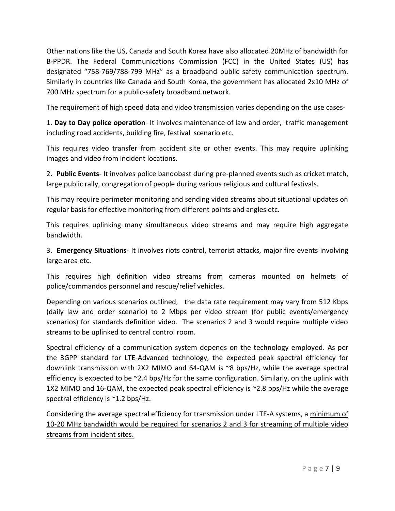Other nations like the US, Canada and South Korea have also allocated 20MHz of bandwidth for B-PPDR. The Federal Communications Commission (FCC) in the United States (US) has designated "758-769/788-799 MHz" as a broadband public safety communication spectrum. Similarly in countries like Canada and South Korea, the government has allocated 2x10 MHz of 700 MHz spectrum for a public-safety broadband network.

The requirement of high speed data and video transmission varies depending on the use cases-

1. **Day to Day police operation**- It involves maintenance of law and order, traffic management including road accidents, building fire, festival scenario etc.

This requires video transfer from accident site or other events. This may require uplinking images and video from incident locations.

2**. Public Events**- It involves police bandobast during pre-planned events such as cricket match, large public rally, congregation of people during various religious and cultural festivals.

This may require perimeter monitoring and sending video streams about situational updates on regular basis for effective monitoring from different points and angles etc.

This requires uplinking many simultaneous video streams and may require high aggregate bandwidth.

3. **Emergency Situations**- It involves riots control, terrorist attacks, major fire events involving large area etc.

This requires high definition video streams from cameras mounted on helmets of police/commandos personnel and rescue/relief vehicles.

Depending on various scenarios outlined, the data rate requirement may vary from 512 Kbps (daily law and order scenario) to 2 Mbps per video stream (for public events/emergency scenarios) for standards definition video. The scenarios 2 and 3 would require multiple video streams to be uplinked to central control room.

Spectral efficiency of a communication system depends on the technology employed. As per the 3GPP standard for LTE-Advanced technology, the expected peak spectral efficiency for downlink transmission with 2X2 MIMO and 64-QAM is ~8 bps/Hz, while the average spectral efficiency is expected to be ~2.4 bps/Hz for the same configuration. Similarly, on the uplink with 1X2 MIMO and 16-QAM, the expected peak spectral efficiency is ~2.8 bps/Hz while the average spectral efficiency is ~1.2 bps/Hz.

Considering the average spectral efficiency for transmission under LTE-A systems, a minimum of 10-20 MHz bandwidth would be required for scenarios 2 and 3 for streaming of multiple video streams from incident sites.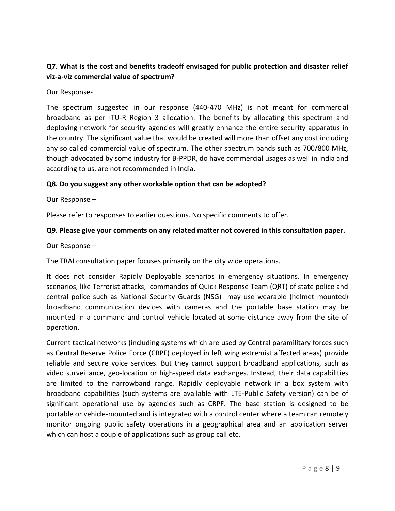#### **Q7. What is the cost and benefits tradeoff envisaged for public protection and disaster relief viz-a-viz commercial value of spectrum?**

Our Response-

The spectrum suggested in our response (440-470 MHz) is not meant for commercial broadband as per ITU-R Region 3 allocation. The benefits by allocating this spectrum and deploying network for security agencies will greatly enhance the entire security apparatus in the country. The significant value that would be created will more than offset any cost including any so called commercial value of spectrum. The other spectrum bands such as 700/800 MHz, though advocated by some industry for B-PPDR, do have commercial usages as well in India and according to us, are not recommended in India.

#### **Q8. Do you suggest any other workable option that can be adopted?**

Our Response –

Please refer to responses to earlier questions. No specific comments to offer.

#### **Q9. Please give your comments on any related matter not covered in this consultation paper.**

Our Response –

The TRAI consultation paper focuses primarily on the city wide operations.

It does not consider Rapidly Deployable scenarios in emergency situations. In emergency scenarios, like Terrorist attacks, commandos of Quick Response Team (QRT) of state police and central police such as National Security Guards (NSG) may use wearable (helmet mounted) broadband communication devices with cameras and the portable base station may be mounted in a command and control vehicle located at some distance away from the site of operation.

Current tactical networks (including systems which are used by Central paramilitary forces such as Central Reserve Police Force (CRPF) deployed in left wing extremist affected areas) provide reliable and secure voice services. But they cannot support broadband applications, such as video surveillance, geo-location or high-speed data exchanges. Instead, their data capabilities are limited to the narrowband range. Rapidly deployable network in a box system with broadband capabilities (such systems are available with LTE-Public Safety version) can be of significant operational use by agencies such as CRPF. The base station is designed to be portable or vehicle-mounted and is integrated with a control center where a team can remotely monitor ongoing public safety operations in a geographical area and an application server which can host a couple of applications such as group call etc.